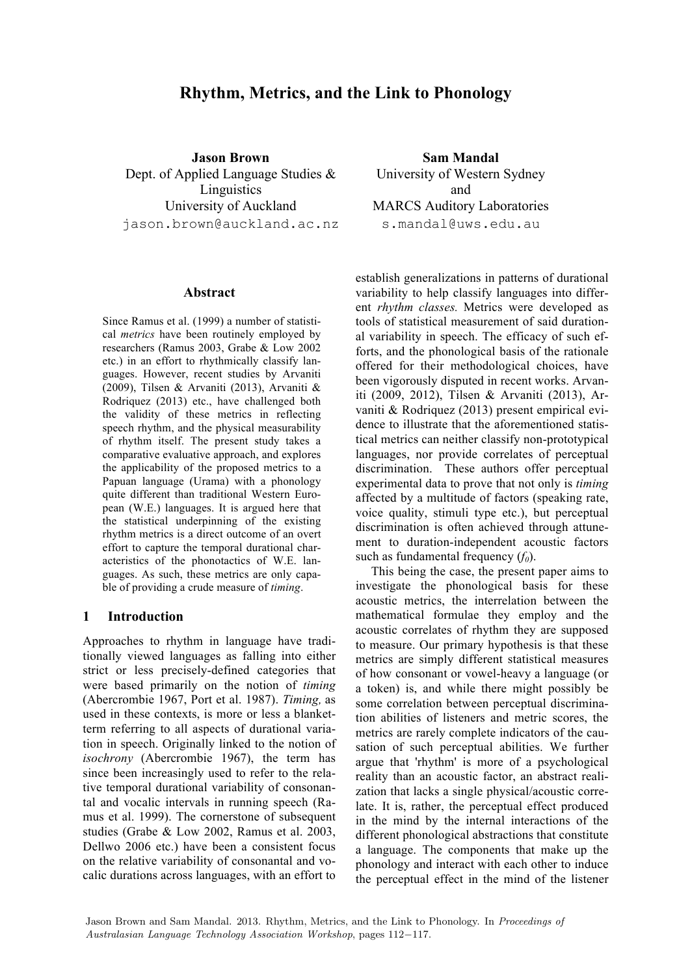# **Rhythm, Metrics, and the Link to Phonology**

**Jason Brown** Dept. of Applied Language Studies & Linguistics University of Auckland jason.brown@auckland.ac.nz

#### **Abstract**

Since Ramus et al. (1999) a number of statistical *metrics* have been routinely employed by researchers (Ramus 2003, Grabe & Low 2002 etc.) in an effort to rhythmically classify languages. However, recent studies by Arvaniti (2009), Tilsen & Arvaniti (2013), Arvaniti & Rodriquez (2013) etc., have challenged both the validity of these metrics in reflecting speech rhythm, and the physical measurability of rhythm itself. The present study takes a comparative evaluative approach, and explores the applicability of the proposed metrics to a Papuan language (Urama) with a phonology quite different than traditional Western European (W.E.) languages. It is argued here that the statistical underpinning of the existing rhythm metrics is a direct outcome of an overt effort to capture the temporal durational characteristics of the phonotactics of W.E. languages. As such, these metrics are only capable of providing a crude measure of *timing*.

#### **1 Introduction**

Approaches to rhythm in language have traditionally viewed languages as falling into either strict or less precisely-defined categories that were based primarily on the notion of *timing*  (Abercrombie 1967, Port et al. 1987). *Timing,* as used in these contexts, is more or less a blanketterm referring to all aspects of durational variation in speech. Originally linked to the notion of *isochrony* (Abercrombie 1967), the term has since been increasingly used to refer to the relative temporal durational variability of consonantal and vocalic intervals in running speech (Ramus et al. 1999). The cornerstone of subsequent studies (Grabe & Low 2002, Ramus et al. 2003, Dellwo 2006 etc.) have been a consistent focus on the relative variability of consonantal and vocalic durations across languages, with an effort to

**Sam Mandal** University of Western Sydney and MARCS Auditory Laboratories s.mandal@uws.edu.au

establish generalizations in patterns of durational variability to help classify languages into different *rhythm classes.* Metrics were developed as tools of statistical measurement of said durational variability in speech. The efficacy of such efforts, and the phonological basis of the rationale offered for their methodological choices, have been vigorously disputed in recent works. Arvaniti (2009, 2012), Tilsen & Arvaniti (2013), Arvaniti & Rodriquez (2013) present empirical evidence to illustrate that the aforementioned statistical metrics can neither classify non-prototypical languages, nor provide correlates of perceptual discrimination. These authors offer perceptual experimental data to prove that not only is *timing* affected by a multitude of factors (speaking rate, voice quality, stimuli type etc.), but perceptual discrimination is often achieved through attunement to duration-independent acoustic factors such as fundamental frequency  $(f_0)$ .

This being the case, the present paper aims to investigate the phonological basis for these acoustic metrics, the interrelation between the mathematical formulae they employ and the acoustic correlates of rhythm they are supposed to measure. Our primary hypothesis is that these metrics are simply different statistical measures of how consonant or vowel-heavy a language (or a token) is, and while there might possibly be some correlation between perceptual discrimination abilities of listeners and metric scores, the metrics are rarely complete indicators of the causation of such perceptual abilities. We further argue that 'rhythm' is more of a psychological reality than an acoustic factor, an abstract realization that lacks a single physical/acoustic correlate. It is, rather, the perceptual effect produced in the mind by the internal interactions of the different phonological abstractions that constitute a language. The components that make up the phonology and interact with each other to induce the perceptual effect in the mind of the listener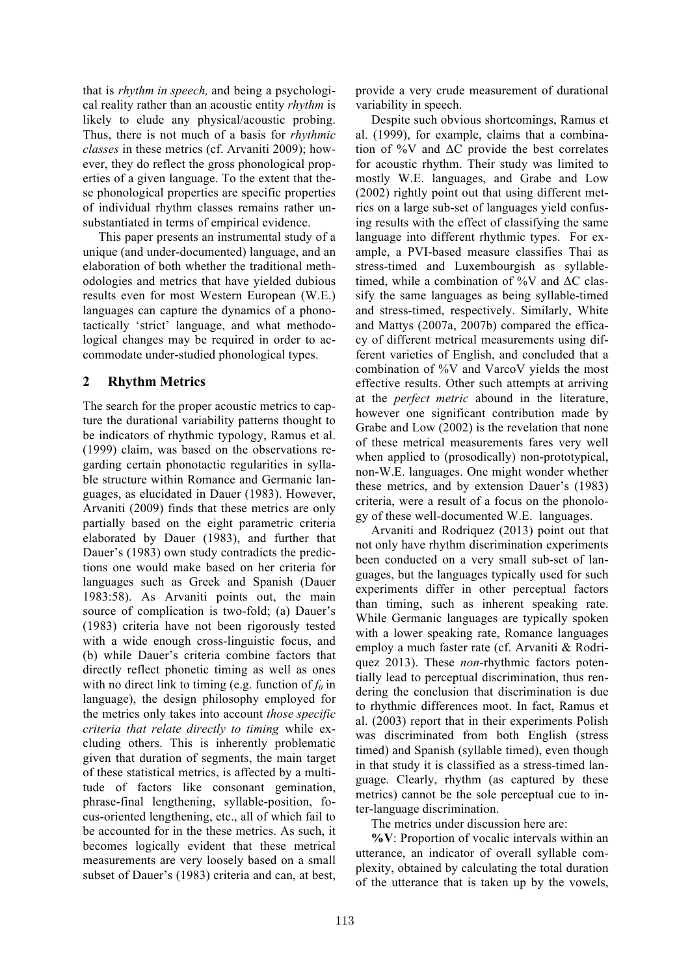that is *rhythm in speech,* and being a psychological reality rather than an acoustic entity *rhythm* is likely to elude any physical/acoustic probing. Thus, there is not much of a basis for *rhythmic classes* in these metrics (cf. Arvaniti 2009); however, they do reflect the gross phonological properties of a given language. To the extent that these phonological properties are specific properties of individual rhythm classes remains rather unsubstantiated in terms of empirical evidence.

This paper presents an instrumental study of a unique (and under-documented) language, and an elaboration of both whether the traditional methodologies and metrics that have yielded dubious results even for most Western European (W.E.) languages can capture the dynamics of a phonotactically 'strict' language, and what methodological changes may be required in order to accommodate under-studied phonological types.

## **2 Rhythm Metrics**

The search for the proper acoustic metrics to capture the durational variability patterns thought to be indicators of rhythmic typology, Ramus et al. (1999) claim, was based on the observations regarding certain phonotactic regularities in syllable structure within Romance and Germanic languages, as elucidated in Dauer (1983). However, Arvaniti (2009) finds that these metrics are only partially based on the eight parametric criteria elaborated by Dauer (1983), and further that Dauer's (1983) own study contradicts the predictions one would make based on her criteria for languages such as Greek and Spanish (Dauer 1983:58). As Arvaniti points out, the main source of complication is two-fold; (a) Dauer's (1983) criteria have not been rigorously tested with a wide enough cross-linguistic focus, and (b) while Dauer's criteria combine factors that directly reflect phonetic timing as well as ones with no direct link to timing (e.g. function of  $f_0$  in language), the design philosophy employed for the metrics only takes into account *those specific criteria that relate directly to timing* while excluding others. This is inherently problematic given that duration of segments, the main target of these statistical metrics, is affected by a multitude of factors like consonant gemination, phrase-final lengthening, syllable-position, focus-oriented lengthening, etc., all of which fail to be accounted for in the these metrics. As such, it becomes logically evident that these metrical measurements are very loosely based on a small subset of Dauer's (1983) criteria and can, at best, provide a very crude measurement of durational variability in speech.

Despite such obvious shortcomings, Ramus et al. (1999), for example, claims that a combination of %V and  $\Delta C$  provide the best correlates for acoustic rhythm. Their study was limited to mostly W.E. languages, and Grabe and Low (2002) rightly point out that using different metrics on a large sub-set of languages yield confusing results with the effect of classifying the same language into different rhythmic types. For example, a PVI-based measure classifies Thai as stress-timed and Luxembourgish as syllabletimed, while a combination of %V and  $\Delta C$  classify the same languages as being syllable-timed and stress-timed, respectively. Similarly, White and Mattys (2007a, 2007b) compared the efficacy of different metrical measurements using different varieties of English, and concluded that a combination of %V and VarcoV yields the most effective results. Other such attempts at arriving at the *perfect metric* abound in the literature, however one significant contribution made by Grabe and Low (2002) is the revelation that none of these metrical measurements fares very well when applied to (prosodically) non-prototypical, non-W.E. languages. One might wonder whether these metrics, and by extension Dauer's (1983) criteria, were a result of a focus on the phonology of these well-documented W.E. languages.

Arvaniti and Rodriquez (2013) point out that not only have rhythm discrimination experiments been conducted on a very small sub-set of languages, but the languages typically used for such experiments differ in other perceptual factors than timing, such as inherent speaking rate. While Germanic languages are typically spoken with a lower speaking rate, Romance languages employ a much faster rate (cf. Arvaniti & Rodriquez 2013). These *non-*rhythmic factors potentially lead to perceptual discrimination, thus rendering the conclusion that discrimination is due to rhythmic differences moot. In fact, Ramus et al. (2003) report that in their experiments Polish was discriminated from both English (stress timed) and Spanish (syllable timed), even though in that study it is classified as a stress-timed language. Clearly, rhythm (as captured by these metrics) cannot be the sole perceptual cue to inter-language discrimination.

The metrics under discussion here are:

**%V**: Proportion of vocalic intervals within an utterance, an indicator of overall syllable complexity, obtained by calculating the total duration of the utterance that is taken up by the vowels,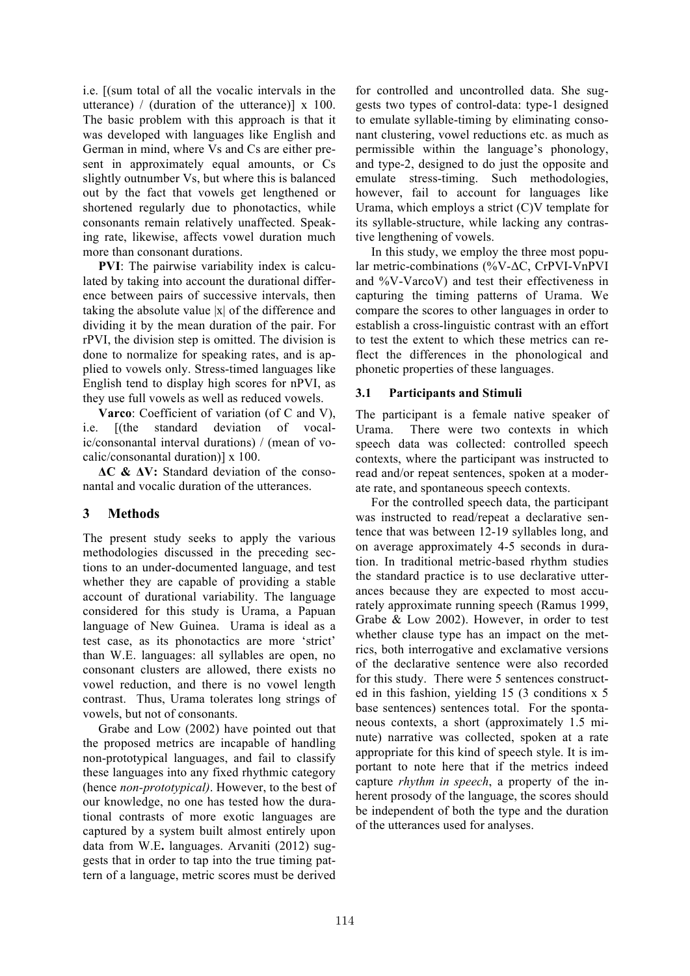i.e. [(sum total of all the vocalic intervals in the utterance) / (duration of the utterance)]  $x$  100. The basic problem with this approach is that it was developed with languages like English and German in mind, where Vs and Cs are either present in approximately equal amounts, or Cs slightly outnumber Vs, but where this is balanced out by the fact that vowels get lengthened or shortened regularly due to phonotactics, while consonants remain relatively unaffected. Speaking rate, likewise, affects vowel duration much more than consonant durations.

**PVI**: The pairwise variability index is calculated by taking into account the durational difference between pairs of successive intervals, then taking the absolute value |x| of the difference and dividing it by the mean duration of the pair. For rPVI, the division step is omitted. The division is done to normalize for speaking rates, and is applied to vowels only. Stress-timed languages like English tend to display high scores for nPVI, as they use full vowels as well as reduced vowels.

**Varco**: Coefficient of variation (of C and V), i.e. [(the standard deviation of vocalic/consonantal interval durations) / (mean of vocalic/consonantal duration)] x 100.

**ΔC & ΔV:** Standard deviation of the consonantal and vocalic duration of the utterances.

# **3 Methods**

The present study seeks to apply the various methodologies discussed in the preceding sections to an under-documented language, and test whether they are capable of providing a stable account of durational variability. The language considered for this study is Urama, a Papuan language of New Guinea. Urama is ideal as a test case, as its phonotactics are more 'strict' than W.E. languages: all syllables are open, no consonant clusters are allowed, there exists no vowel reduction, and there is no vowel length contrast. Thus, Urama tolerates long strings of vowels, but not of consonants.

Grabe and Low (2002) have pointed out that the proposed metrics are incapable of handling non-prototypical languages, and fail to classify these languages into any fixed rhythmic category (hence *non-prototypical)*. However, to the best of our knowledge, no one has tested how the durational contrasts of more exotic languages are captured by a system built almost entirely upon data from W.E**.** languages. Arvaniti (2012) suggests that in order to tap into the true timing pattern of a language, metric scores must be derived

for controlled and uncontrolled data. She suggests two types of control-data: type-1 designed to emulate syllable-timing by eliminating consonant clustering, vowel reductions etc. as much as permissible within the language's phonology, and type-2, designed to do just the opposite and emulate stress-timing. Such methodologies, however, fail to account for languages like Urama, which employs a strict (C)V template for its syllable-structure, while lacking any contrastive lengthening of vowels.

In this study, we employ the three most popular metric-combinations (%V-ΔC, CrPVI-VnPVI and %V-VarcoV) and test their effectiveness in capturing the timing patterns of Urama. We compare the scores to other languages in order to establish a cross-linguistic contrast with an effort to test the extent to which these metrics can reflect the differences in the phonological and phonetic properties of these languages.

### **3.1 Participants and Stimuli**

The participant is a female native speaker of Urama. There were two contexts in which speech data was collected: controlled speech contexts, where the participant was instructed to read and/or repeat sentences, spoken at a moderate rate, and spontaneous speech contexts.

For the controlled speech data, the participant was instructed to read/repeat a declarative sentence that was between 12-19 syllables long, and on average approximately 4-5 seconds in duration. In traditional metric-based rhythm studies the standard practice is to use declarative utterances because they are expected to most accurately approximate running speech (Ramus 1999, Grabe & Low 2002). However, in order to test whether clause type has an impact on the metrics, both interrogative and exclamative versions of the declarative sentence were also recorded for this study. There were 5 sentences constructed in this fashion, yielding 15 (3 conditions x 5 base sentences) sentences total. For the spontaneous contexts, a short (approximately 1.5 minute) narrative was collected, spoken at a rate appropriate for this kind of speech style. It is important to note here that if the metrics indeed capture *rhythm in speech*, a property of the inherent prosody of the language, the scores should be independent of both the type and the duration of the utterances used for analyses.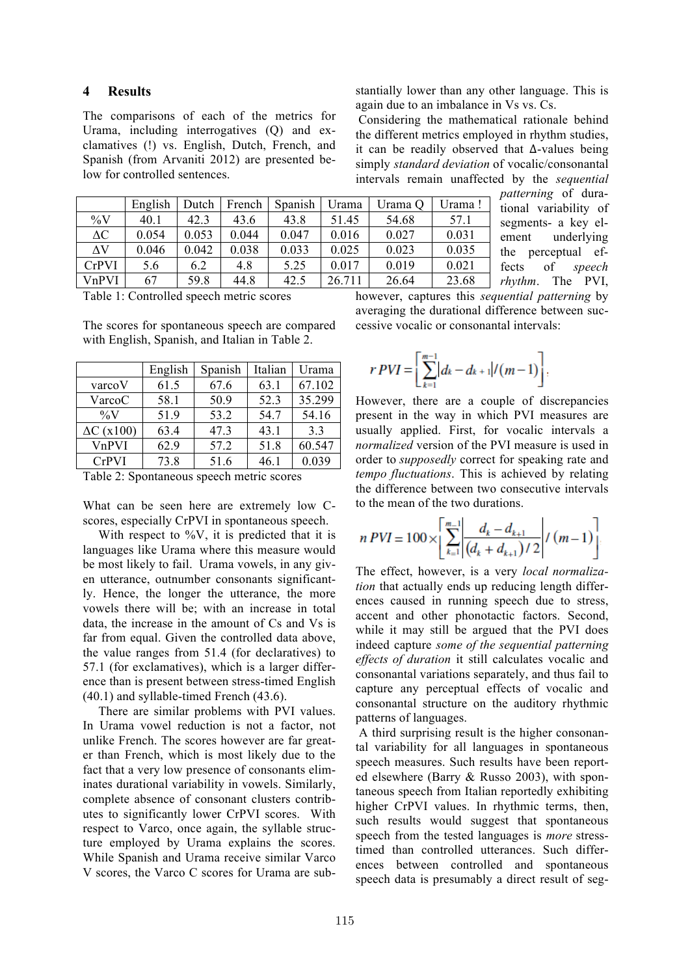### **4 Results**

The comparisons of each of the metrics for Urama, including interrogatives (Q) and exclamatives (!) vs. English, Dutch, French, and Spanish (from Arvaniti 2012) are presented below for controlled sentences.

stantially lower than any other language. This is again due to an imbalance in Vs vs. Cs.

Considering the mathematical rationale behind the different metrics employed in rhythm studies, it can be readily observed that Δ-values being simply *standard deviation* of vocalic/consonantal intervals remain unaffected by the *sequential* 

|              | English | Dutch | French | Spanish | Urama  | Urama Q | Urama! |
|--------------|---------|-------|--------|---------|--------|---------|--------|
| $\%$ V       | 40.1    | 42.3  | 43.6   | 43.8    | 51.45  | 54.68   | 57.1   |
| $\Delta C$   | 0.054   | 0.053 | 0.044  | 0.047   | 0.016  | 0.027   | 0.031  |
| $\Delta V$   | 0.046   | 0.042 | 0.038  | 0.033   | 0.025  | 0.023   | 0.035  |
| <b>CrPVI</b> | 5.6     | 6.2   | 4.8    | 5.25    | 0.017  | 0.019   | 0.021  |
| VnPVI        | 67      | 59.8  | 44.8   | 42.5    | 26.711 | 26.64   | 23.68  |

*patterning* of durational variability of segments- a key element underlying the perceptual effects of *speech rhythm*. The PVI,

Table 1: Controlled speech metric scores

The scores for spontaneous speech are compared with English, Spanish, and Italian in Table 2.

|                   | English | Spanish | Italian | Urama  |
|-------------------|---------|---------|---------|--------|
| varcoV            | 61.5    | 67.6    | 63.1    | 67.102 |
| VarcoC            | 58.1    | 50.9    | 52.3    | 35.299 |
| $\%V$             | 51.9    | 53.2    | 54.7    | 54.16  |
| $\Delta C$ (x100) | 63.4    | 47.3    | 43.1    | 3.3    |
| VnPVI             | 62.9    | 57.2    | 51.8    | 60.547 |
| <b>CrPVI</b>      | 73.8    | 51.6    | 46.1    | 0.039  |

Table 2: Spontaneous speech metric scores

What can be seen here are extremely low Cscores, especially CrPVI in spontaneous speech.

With respect to  $\%V$ , it is predicted that it is languages like Urama where this measure would be most likely to fail. Urama vowels, in any given utterance, outnumber consonants significantly. Hence, the longer the utterance, the more vowels there will be; with an increase in total data, the increase in the amount of Cs and Vs is far from equal. Given the controlled data above, the value ranges from 51.4 (for declaratives) to 57.1 (for exclamatives), which is a larger difference than is present between stress-timed English (40.1) and syllable-timed French (43.6).

There are similar problems with PVI values. In Urama vowel reduction is not a factor, not unlike French. The scores however are far greater than French, which is most likely due to the fact that a very low presence of consonants eliminates durational variability in vowels. Similarly, complete absence of consonant clusters contributes to significantly lower CrPVI scores. With respect to Varco, once again, the syllable structure employed by Urama explains the scores. While Spanish and Urama receive similar Varco V scores, the Varco C scores for Urama are subhowever, captures this *sequential patterning* by averaging the durational difference between successive vocalic or consonantal intervals:

$$
r \, PVI = \left[ \sum_{k=1}^{m-1} \left| d_k - d_{k+1} \right| / (m-1) \right]
$$

However, there are a couple of discrepancies present in the way in which PVI measures are usually applied. First, for vocalic intervals a *normalized* version of the PVI measure is used in order to *supposedly* correct for speaking rate and *tempo fluctuations*. This is achieved by relating the difference between two consecutive intervals to the mean of the two durations.

$$
n \, V = 100 \times \left[ \sum_{k=1}^{m-1} \left| \frac{d_k - d_{k+1}}{(d_k + d_{k+1})/2} \right| / (m-1) \right].
$$

The effect, however, is a very *local normalization* that actually ends up reducing length differences caused in running speech due to stress, accent and other phonotactic factors. Second, while it may still be argued that the PVI does indeed capture *some of the sequential patterning effects of duration* it still calculates vocalic and consonantal variations separately, and thus fail to capture any perceptual effects of vocalic and consonantal structure on the auditory rhythmic patterns of languages.

A third surprising result is the higher consonantal variability for all languages in spontaneous speech measures. Such results have been reported elsewhere (Barry & Russo 2003), with spontaneous speech from Italian reportedly exhibiting higher CrPVI values. In rhythmic terms, then, such results would suggest that spontaneous speech from the tested languages is *more* stresstimed than controlled utterances. Such differences between controlled and spontaneous speech data is presumably a direct result of seg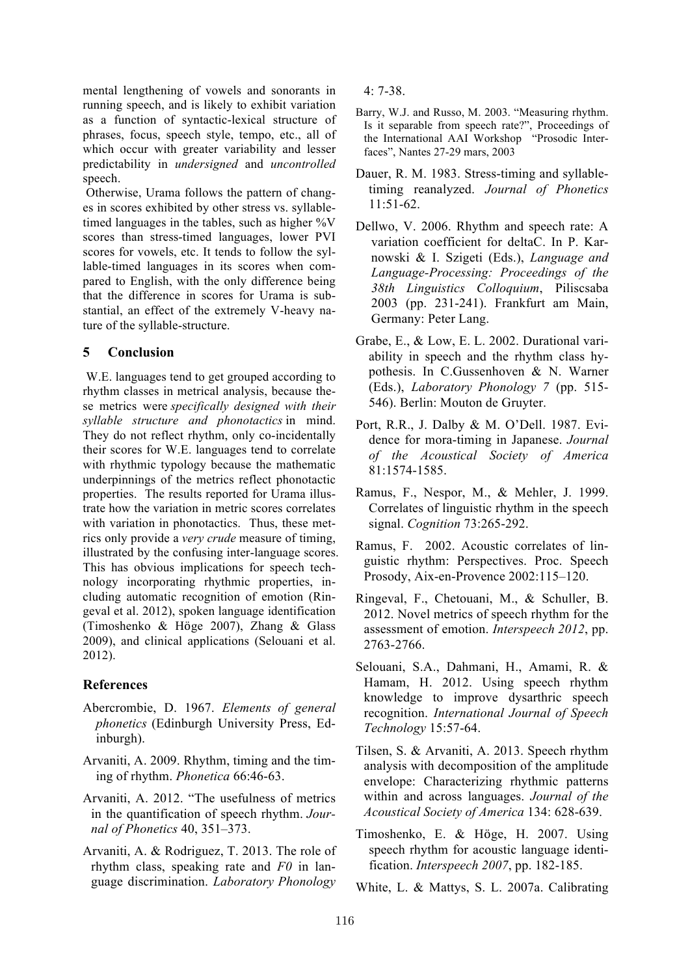mental lengthening of vowels and sonorants in running speech, and is likely to exhibit variation as a function of syntactic-lexical structure of phrases, focus, speech style, tempo, etc., all of which occur with greater variability and lesser predictability in *undersigned* and *uncontrolled*  speech.

Otherwise, Urama follows the pattern of changes in scores exhibited by other stress vs. syllabletimed languages in the tables, such as higher %V scores than stress-timed languages, lower PVI scores for vowels, etc. It tends to follow the syllable-timed languages in its scores when compared to English, with the only difference being that the difference in scores for Urama is substantial, an effect of the extremely V-heavy nature of the syllable-structure.

## **5 Conclusion**

W.E. languages tend to get grouped according to rhythm classes in metrical analysis, because these metrics were *specifically designed with their syllable structure and phonotactics* in mind. They do not reflect rhythm, only co-incidentally their scores for W.E. languages tend to correlate with rhythmic typology because the mathematic underpinnings of the metrics reflect phonotactic properties. The results reported for Urama illustrate how the variation in metric scores correlates with variation in phonotactics. Thus, these metrics only provide a *very crude* measure of timing, illustrated by the confusing inter-language scores. This has obvious implications for speech technology incorporating rhythmic properties, including automatic recognition of emotion (Ringeval et al. 2012), spoken language identification (Timoshenko & Höge 2007), Zhang & Glass 2009), and clinical applications (Selouani et al. 2012).

## **References**

- Abercrombie, D. 1967. *Elements of general phonetics* (Edinburgh University Press, Edinburgh).
- Arvaniti, A. 2009. Rhythm, timing and the timing of rhythm. *Phonetica* 66:46-63.
- Arvaniti, A. 2012. "The usefulness of metrics in the quantification of speech rhythm. *Journal of Phonetics* 40, 351–373.
- Arvaniti, A. & Rodriguez, T. 2013. The role of rhythm class, speaking rate and *F0* in language discrimination. *Laboratory Phonology*

4: 7-38.

- Barry, W.J. and Russo, M. 2003. "Measuring rhythm. Is it separable from speech rate?", Proceedings of the International AAI Workshop "Prosodic Interfaces", Nantes 27-29 mars, 2003
- Dauer, R. M. 1983. Stress-timing and syllabletiming reanalyzed. *Journal of Phonetics* 11:51-62.
- Dellwo, V. 2006. Rhythm and speech rate: A variation coefficient for deltaC. In P. Karnowski & I. Szigeti (Eds.), *Language and Language-Processing: Proceedings of the 38th Linguistics Colloquium*, Piliscsaba 2003 (pp. 231-241). Frankfurt am Main, Germany: Peter Lang.
- Grabe, E., & Low, E. L. 2002. Durational variability in speech and the rhythm class hypothesis. In C.Gussenhoven & N. Warner (Eds.), *Laboratory Phonology 7* (pp. 515- 546). Berlin: Mouton de Gruyter.
- Port, R.R., J. Dalby & M. O'Dell. 1987. Evidence for mora-timing in Japanese. *Journal of the Acoustical Society of America* 81:1574-1585.
- Ramus, F., Nespor, M., & Mehler, J. 1999. Correlates of linguistic rhythm in the speech signal. *Cognition* 73:265-292.
- Ramus, F. 2002. Acoustic correlates of linguistic rhythm: Perspectives. Proc. Speech Prosody, Aix-en-Provence 2002:115–120.
- Ringeval, F., Chetouani, M., & Schuller, B. 2012. Novel metrics of speech rhythm for the assessment of emotion. *Interspeech 2012*, pp. 2763-2766.
- Selouani, S.A., Dahmani, H., Amami, R. & Hamam, H. 2012. Using speech rhythm knowledge to improve dysarthric speech recognition. *International Journal of Speech Technology* 15:57-64.
- Tilsen, S. & Arvaniti, A. 2013. Speech rhythm analysis with decomposition of the amplitude envelope: Characterizing rhythmic patterns within and across languages. *Journal of the Acoustical Society of America* 134: 628-639.
- Timoshenko, E. & Höge, H. 2007. Using speech rhythm for acoustic language identification. *Interspeech 2007*, pp. 182-185.
- White, L. & Mattys, S. L. 2007a. Calibrating